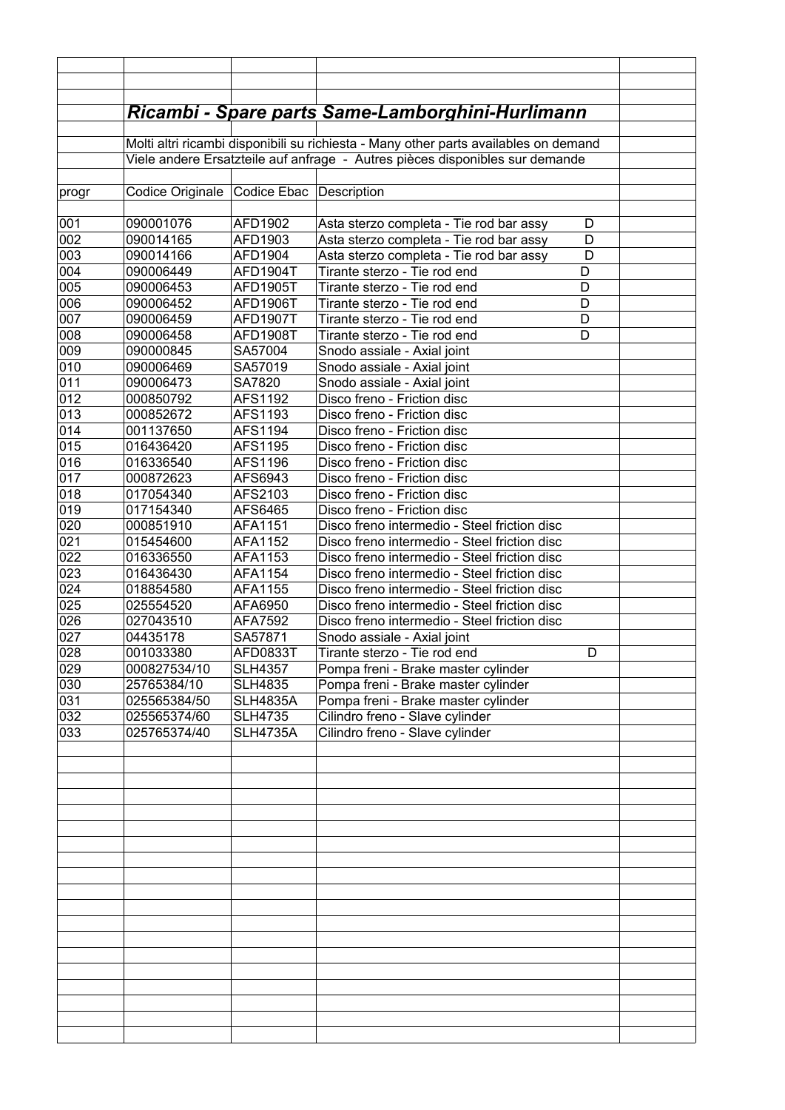|       |                  |                           | <u> Ricambi - Spare parts Same-Lamborghini-Hurlimann</u>                             |   |  |
|-------|------------------|---------------------------|--------------------------------------------------------------------------------------|---|--|
|       |                  |                           |                                                                                      |   |  |
|       |                  |                           | Molti altri ricambi disponibili su richiesta - Many other parts availables on demand |   |  |
|       |                  |                           | Viele andere Ersatzteile auf anfrage - Autres pièces disponibles sur demande         |   |  |
|       |                  |                           |                                                                                      |   |  |
| progr | Codice Originale | Codice Ebac   Description |                                                                                      |   |  |
|       |                  |                           |                                                                                      |   |  |
| 001   | 090001076        | AFD1902                   | Asta sterzo completa - Tie rod bar assy                                              | D |  |
| 002   | 090014165        | AFD1903                   | Asta sterzo completa - Tie rod bar assy                                              | D |  |
| 003   | 090014166        | AFD1904                   | Asta sterzo completa - Tie rod bar assy                                              | D |  |
| 004   | 090006449        | AFD1904T                  | Tirante sterzo - Tie rod end                                                         | D |  |
| 005   | 090006453        | AFD1905T                  | Tirante sterzo - Tie rod end                                                         | D |  |
| 006   | 090006452        | AFD1906T                  | Tirante sterzo - Tie rod end                                                         | D |  |
| 007   | 090006459        | AFD1907T                  | Tirante sterzo - Tie rod end                                                         | D |  |
| 008   | 090006458        | AFD1908T                  | Tirante sterzo - Tie rod end                                                         | D |  |
| 009   | 090000845        | SA57004                   | Snodo assiale - Axial joint                                                          |   |  |
| 010   | 090006469        | SA57019                   | Snodo assiale - Axial joint                                                          |   |  |
| 011   | 090006473        | SA7820                    | Snodo assiale - Axial joint                                                          |   |  |
| 012   | 000850792        | AFS1192                   | Disco freno - Friction disc                                                          |   |  |
| 013   | 000852672        | AFS1193                   | Disco freno - Friction disc                                                          |   |  |
| 014   | 001137650        | AFS1194                   | Disco freno - Friction disc                                                          |   |  |
| 015   | 016436420        | AFS1195                   | Disco freno - Friction disc                                                          |   |  |
| 016   | 016336540        | AFS1196                   | Disco freno - Friction disc                                                          |   |  |
| 017   | 000872623        | AFS6943                   | Disco freno - Friction disc                                                          |   |  |
| 018   | 017054340        | AFS2103                   | Disco freno - Friction disc                                                          |   |  |
| 019   | 017154340        | AFS6465                   | Disco freno - Friction disc                                                          |   |  |
| 020   | 000851910        | AFA1151                   | Disco freno intermedio - Steel friction disc                                         |   |  |
| 021   | 015454600        | AFA1152                   | Disco freno intermedio - Steel friction disc                                         |   |  |
| 022   | 016336550        | AFA1153                   | Disco freno intermedio - Steel friction disc                                         |   |  |
| 023   | 016436430        | AFA1154                   | Disco freno intermedio - Steel friction disc                                         |   |  |
| 024   | 018854580        | AFA1155                   | Disco freno intermedio - Steel friction disc                                         |   |  |
| 025   | 025554520        | AFA6950                   | Disco freno intermedio - Steel friction disc                                         |   |  |
| 026   | 027043510        | AFA7592                   | Disco freno intermedio - Steel friction disc                                         |   |  |
| 027   | 04435178         | SA57871                   | Snodo assiale - Axial joint                                                          |   |  |
| 028   | 001033380        | AFD0833T                  | Tirante sterzo - Tie rod end                                                         | D |  |
| 029   | 000827534/10     | <b>SLH4357</b>            | Pompa freni - Brake master cylinder                                                  |   |  |
| 030   | 25765384/10      | <b>SLH4835</b>            | Pompa freni - Brake master cylinder                                                  |   |  |
| 031   | 025565384/50     | <b>SLH4835A</b>           | Pompa freni - Brake master cylinder                                                  |   |  |
| 032   | 025565374/60     | <b>SLH4735</b>            | Cilindro freno - Slave cylinder                                                      |   |  |
| 033   | 025765374/40     | <b>SLH4735A</b>           | Cilindro freno - Slave cylinder                                                      |   |  |
|       |                  |                           |                                                                                      |   |  |
|       |                  |                           |                                                                                      |   |  |
|       |                  |                           |                                                                                      |   |  |
|       |                  |                           |                                                                                      |   |  |
|       |                  |                           |                                                                                      |   |  |
|       |                  |                           |                                                                                      |   |  |
|       |                  |                           |                                                                                      |   |  |
|       |                  |                           |                                                                                      |   |  |
|       |                  |                           |                                                                                      |   |  |
|       |                  |                           |                                                                                      |   |  |
|       |                  |                           |                                                                                      |   |  |
|       |                  |                           |                                                                                      |   |  |
|       |                  |                           |                                                                                      |   |  |
|       |                  |                           |                                                                                      |   |  |
|       |                  |                           |                                                                                      |   |  |
|       |                  |                           |                                                                                      |   |  |
|       |                  |                           |                                                                                      |   |  |
|       |                  |                           |                                                                                      |   |  |
|       |                  |                           |                                                                                      |   |  |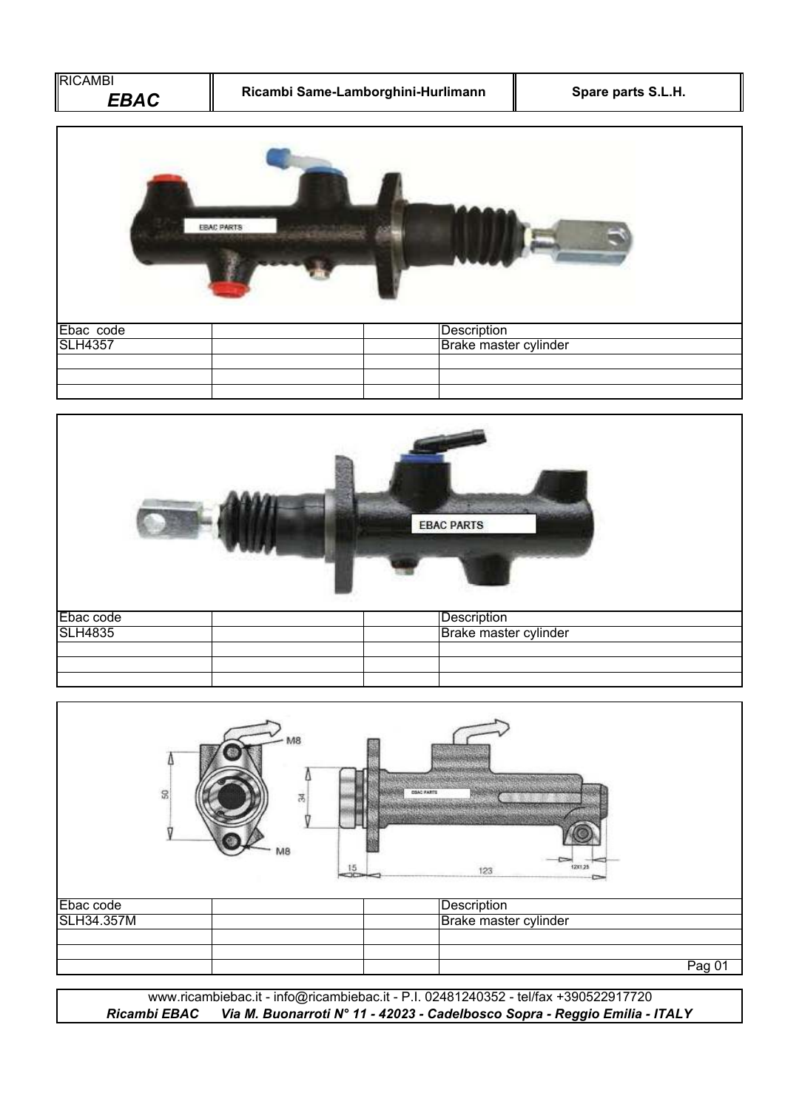| RICAMBI<br>Ricambi Same-Lamborghini-Hurlimann<br><b>EBAC</b> |                       | Spare parts S.L.H. |
|--------------------------------------------------------------|-----------------------|--------------------|
|                                                              | <b>EBAC PARTS</b>     |                    |
| Ebac code                                                    | <b>Description</b>    |                    |
| <b>SLH4357</b>                                               | Brake master cylinder |                    |
|                                                              |                       |                    |



|                                | M8<br>$\mathfrak{D}$<br>莴<br>MВ<br>15 | <b>PRAC PARTS</b><br>1201.25<br>123  |
|--------------------------------|---------------------------------------|--------------------------------------|
| Ebac code<br><b>SLH34.357M</b> |                                       | Description<br>Brake master cylinder |
|                                |                                       | Pag 01                               |

*Ricambi EBAC Via M. Buonarroti N° 11 - 42023 - Cadelbosco Sopra - Reggio Emilia - ITALY* www.ricambiebac.it - info@ricambiebac.it - P.I. 02481240352 - tel/fax +390522917720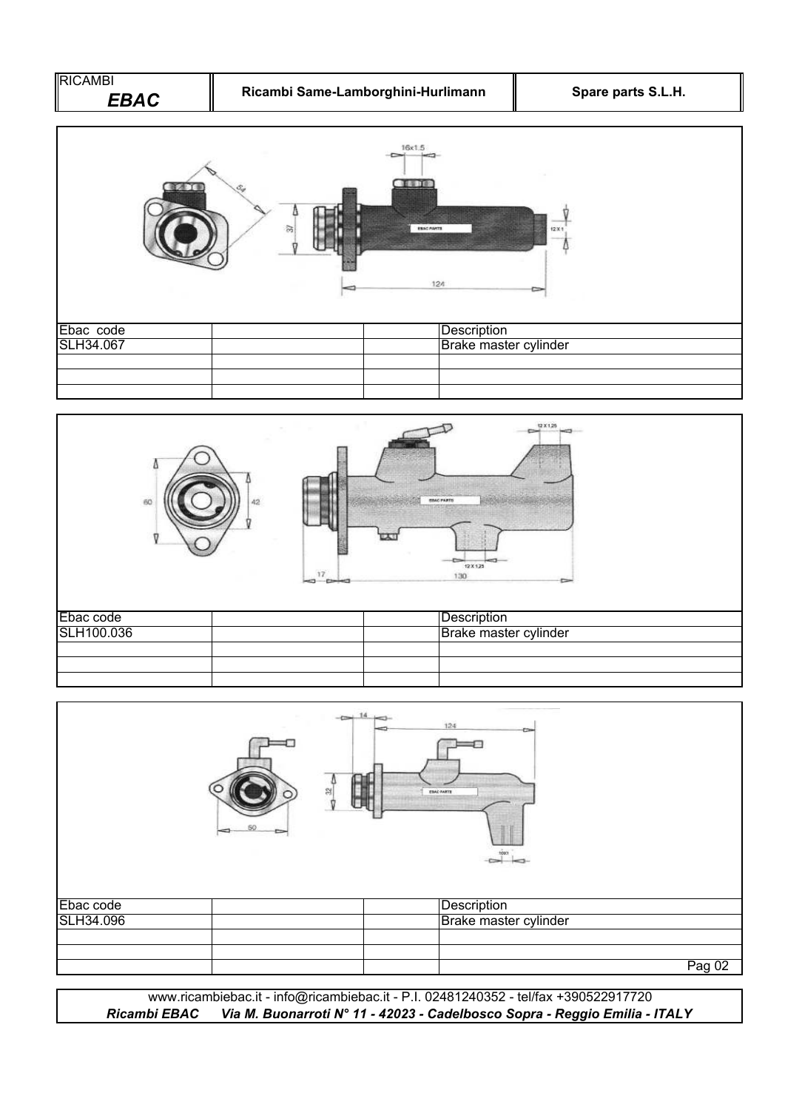| <b>RICAMBI</b><br><b>EBAC</b> | Ricambi Same-Lamborghini-Hurlimann |                                            | Spare parts S.L.H. |
|-------------------------------|------------------------------------|--------------------------------------------|--------------------|
| пm                            | 岗                                  | 16x1.5<br>重要工作<br><b>ESAC PARTS</b><br>12A | 12X1               |
| Ebac code<br>SLH34.067        |                                    | Description<br>Brake master cylinder       |                    |
|                               |                                    |                                            |                    |
| Δ<br>60                       | 42<br>17<br>÷                      | <b>BBAC PARTS</b><br>ほぼ<br>12 X 125<br>130 | Q X 1,25           |

| Ebac code  |  | Description           |
|------------|--|-----------------------|
| SLH100.036 |  | Brake master cylinder |
|            |  |                       |
|            |  |                       |
|            |  |                       |

|           | $\sim$ 14 $\sim$<br>읝 | 124<br><b>ESAC PARTS</b><br>1007 |        |
|-----------|-----------------------|----------------------------------|--------|
| Ebac code |                       | Description                      |        |
| SLH34.096 |                       | Brake master cylinder            |        |
|           |                       |                                  |        |
|           |                       |                                  |        |
|           |                       |                                  | Pag 02 |

www.ricambiebac.it - info@ricambiebac.it - P.I. 02481240352 - tel/fax +390522917720 *Ricambi EBAC Via M. Buonarroti N° 11 - 42023 - Cadelbosco Sopra - Reggio Emilia - ITALY*